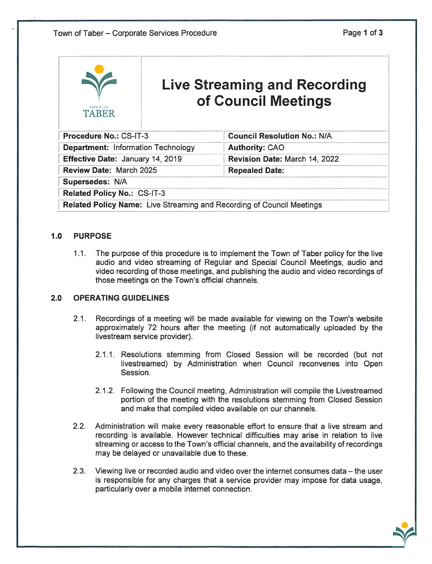j&t.

| TOWN OF<br><b>TABER</b>                                               | <b>Live Streaming and Recording</b><br>of Council Meetings |                                    |
|-----------------------------------------------------------------------|------------------------------------------------------------|------------------------------------|
| Procedure No.: CS-IT-3                                                |                                                            | <b>Council Resolution No.: N/A</b> |
| <b>Department: Information Technology</b>                             |                                                            | <b>Authority: CAO</b>              |
| Effective Date: January 14, 2019                                      |                                                            | Revision Date: March 14, 2022      |
| Review Date: March 2025                                               |                                                            | <b>Repealed Date:</b>              |
| Supersedes: N/A                                                       |                                                            |                                    |
| Related Policy No.: CS-IT-3                                           |                                                            |                                    |
| Related Policy Name: Live Streaming and Recording of Council Meetings |                                                            |                                    |

## 1.0 PURPOSE

1.1. The purpose of this procedure is to implement the Town of Taber policy for the live audio and video streaming of Regular and Special Council Meetings, audio and video recording of those meetings, and publishing the audio and video recordings of those meetings on the Town's official channels.

## 2.0 OPERATING GUIDELINES

- 2.1. Recordings of a meeting will be made available for viewing on the Town's website approximately 72 hours after the meeting (if not automatically uploaded by the livestream service provider).
	- 2.1.1. Resolutions stemming from Closed Session will be recorded (but not livestreamed) by Administration when Council reconvenes into Open Session.
	- 2.1.2. Following the Council meeting. Administration will compile the Livestreamed portion of the meeting with the resolutions stemming from Closed Session and make that compiled video available on our channels.
- 2.2. Administration will make every reasonable effort to ensure that a live stream and recording is available. However technical difficulties may arise in relation to live streaming or access to the Town's official channels, and the availability of recordings may be delayed or unavailable due to these.
- 2.3. Viewing live or recorded audio and video over the internet consumes data the user is responsible for any charges that a service provider may impose for data usage, particularly over a mobile internet connection.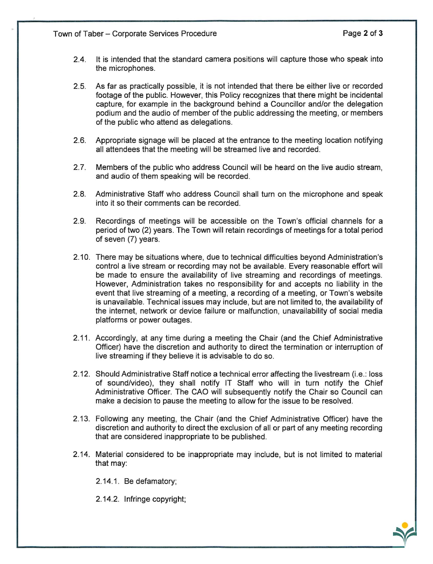- 2.4. It is intended that the standard camera positions will capture those who speak into the microphones.
- 2.5. As far as practically possible, it is not intended that there be either live or recorded footage of the public. However, this Policy recognizes that there might be incidental capture, for example in the background behind a Councillor and/or the delegation podium and the audio of member of the public addressing the meeting, or members of the public who attend as delegations.
- 2.6. Appropriate signage will be placed at the entrance to the meeting location notifying all attendees that the meeting will be streamed live and recorded.
- 2.7. Members of the public who address Council will be heard on the live audio stream, and audio of them speaking will be recorded.
- 2.8. Administrative Staff who address Council shall turn on the microphone and speak into it so their comments can be recorded.
- 2.9. Recordings of meetings will be accessible on the Town's official channels for a period of two (2) years. The Town will retain recordings of meetings for a total period of seven (7) years.
- 2.10. There may be situations where, due to technical difficulties beyond Administration's control a live stream or recording may not be available. Every reasonable effort will be made to ensure the availability of live streaming and recordings of meetings. However, Administration takes no responsibility for and accepts no liability in the event that live streaming of a meeting, a recording of a meeting, or Town's website is unavailable. Technical issues may include, but are not limited to, the availability of the internet, network or device failure or malfunction, unavailability of social media platforms or power outages.
- 2.11. Accordingly, at any time during a meeting the Chair (and the Chief Administrative Officer) have the discretion and authority to direct the termination or interruption of live streaming if they believe it is advisable to do so.
- 2.12. Should Administrative Staff notice a technical error affecting the livestream (i.e.: loss of sound/video), they shall notify IT Staff who will in turn notify the Chief Administrative Officer. The CAO will subsequently notify the Chair so Council can make a decision to pause the meeting to allow for the issue to be resolved.
- 2.13. Following any meeting, the Chair (and the Chief Administrative Officer) have the discretion and authority to direct the exclusion of all or part of any meeting recording that are considered inappropriate to be published.
- 2.14. Material considered to be inappropriate may include, but is not limited to material that may:

2.14.1. Be defamatory;

2.14.2. Infringe copyright;